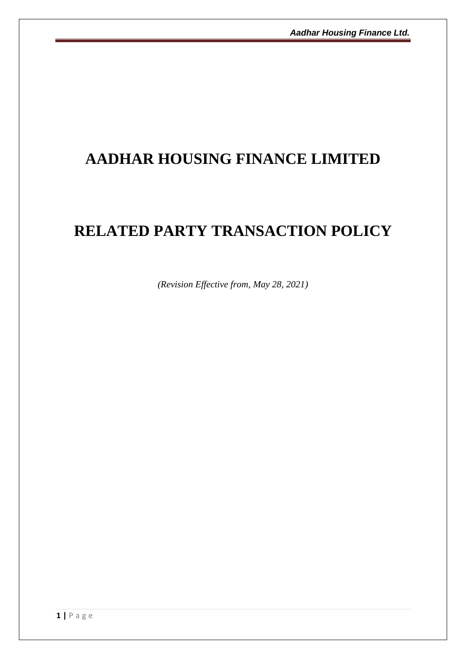## **AADHAR HOUSING FINANCE LIMITED**

# **RELATED PARTY TRANSACTION POLICY**

*(Revision Effective from, May 28, 2021)*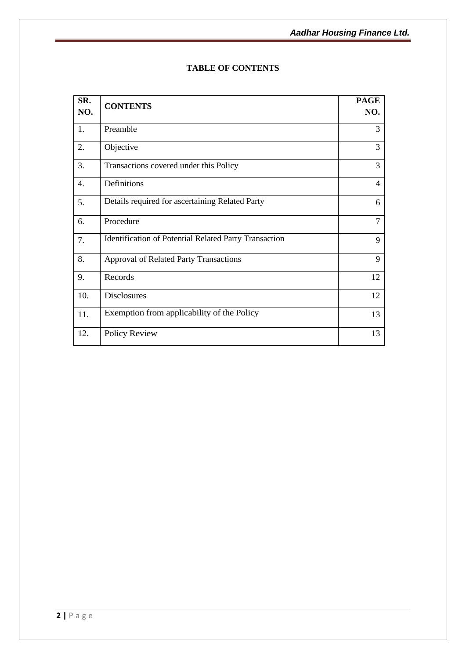| SR.<br>NO. | <b>CONTENTS</b>                                       | <b>PAGE</b><br>NO. |
|------------|-------------------------------------------------------|--------------------|
| 1.         | Preamble                                              | 3                  |
| 2.         | Objective                                             | 3                  |
| 3.         | Transactions covered under this Policy                | 3                  |
| 4.         | Definitions                                           | 4                  |
| 5.         | Details required for ascertaining Related Party       | 6                  |
| 6.         | Procedure                                             | $\tau$             |
| 7.         | Identification of Potential Related Party Transaction | 9                  |
| 8.         | <b>Approval of Related Party Transactions</b>         | 9                  |
| 9.         | Records                                               | 12                 |
| 10.        | <b>Disclosures</b>                                    | 12                 |
| 11.        | Exemption from applicability of the Policy            | 13                 |
| 12.        | Policy Review                                         | 13                 |

## **TABLE OF CONTENTS**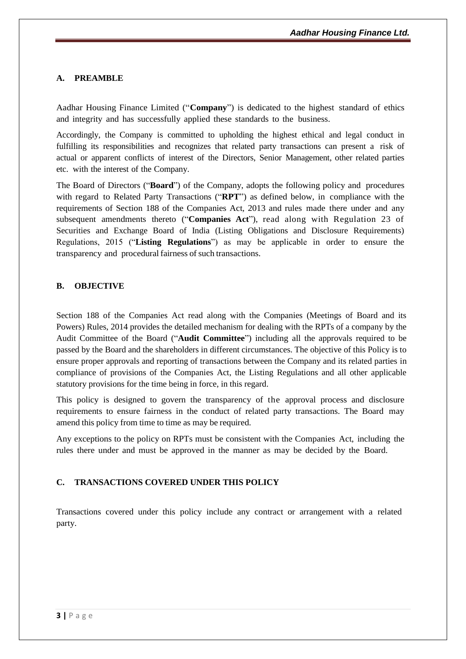## **A. PREAMBLE**

Aadhar Housing Finance Limited ("**Company**") is dedicated to the highest standard of ethics and integrity and has successfully applied these standards to the business.

Accordingly, the Company is committed to upholding the highest ethical and legal conduct in fulfilling its responsibilities and recognizes that related party transactions can present a risk of actual or apparent conflicts of interest of the Directors, Senior Management, other related parties etc. with the interest of the Company.

The Board of Directors ("**Board**") of the Company, adopts the following policy and procedures with regard to Related Party Transactions ("**RPT**") as defined below, in compliance with the requirements of Section 188 of the Companies Act, 2013 and rules made there under and any subsequent amendments thereto ("**Companies Act**"), read along with Regulation 23 of Securities and Exchange Board of India (Listing Obligations and Disclosure Requirements) Regulations, 2015 ("**Listing Regulations**") as may be applicable in order to ensure the transparency and procedural fairness of such transactions.

## **B. OBJECTIVE**

Section 188 of the Companies Act read along with the Companies (Meetings of Board and its Powers) Rules, 2014 provides the detailed mechanism for dealing with the RPTs of a company by the Audit Committee of the Board ("**Audit Committee**") including all the approvals required to be passed by the Board and the shareholders in different circumstances. The objective of this Policy is to ensure proper approvals and reporting of transactions between the Company and its related parties in compliance of provisions of the Companies Act, the Listing Regulations and all other applicable statutory provisions for the time being in force, in this regard.

This policy is designed to govern the transparency of the approval process and disclosure requirements to ensure fairness in the conduct of related party transactions. The Board may amend this policy from time to time as may be required.

Any exceptions to the policy on RPTs must be consistent with the Companies Act, including the rules there under and must be approved in the manner as may be decided by the Board.

## **C. TRANSACTIONS COVERED UNDER THIS POLICY**

Transactions covered under this policy include any contract or arrangement with a related party.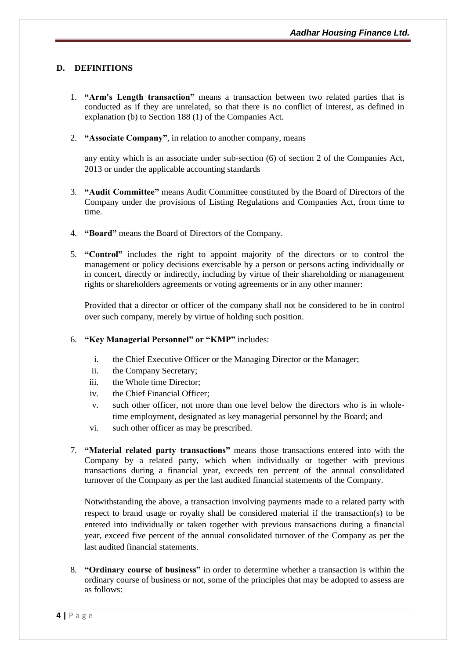## **D. DEFINITIONS**

- 1. **"Arm's Length transaction"** means a transaction between two related parties that is conducted as if they are unrelated, so that there is no conflict of interest, as defined in explanation (b) to Section 188 (1) of the Companies Act.
- 2. **"Associate Company"**, in relation to another company, means

any entity which is an associate under sub-section (6) of section 2 of the Companies Act, 2013 or under the applicable accounting standards

- 3. **"Audit Committee"** means Audit Committee constituted by the Board of Directors of the Company under the provisions of Listing Regulations and Companies Act, from time to time.
- 4. **"Board"** means the Board of Directors of the Company.
- 5. **"Control"** includes the right to appoint majority of the directors or to control the management or policy decisions exercisable by a person or persons acting individually or in concert, directly or indirectly, including by virtue of their shareholding or management rights or shareholders agreements or voting agreements or in any other manner:

Provided that a director or officer of the company shall not be considered to be in control over such company, merely by virtue of holding such position.

- 6. **"Key Managerial Personnel" or "KMP"** includes:
	- i. the Chief Executive Officer or the Managing Director or the Manager;
	- ii. the Company Secretary;
	- iii. the Whole time Director;
	- iv. the Chief Financial Officer;
	- v. such other officer, not more than one level below the directors who is in wholetime employment, designated as key managerial personnel by the Board; and
	- vi. such other officer as may be prescribed.
- 7. **"Material related party transactions"** means those transactions entered into with the Company by a related party, which when individually or together with previous transactions during a financial year, exceeds ten percent of the annual consolidated turnover of the Company as per the last audited financial statements of the Company.

Notwithstanding the above, a transaction involving payments made to a related party with respect to brand usage or royalty shall be considered material if the transaction(s) to be entered into individually or taken together with previous transactions during a financial year, exceed five percent of the annual consolidated turnover of the Company as per the last audited financial statements.

8. **"Ordinary course of business"** in order to determine whether a transaction is within the ordinary course of business or not, some of the principles that may be adopted to assess are as follows: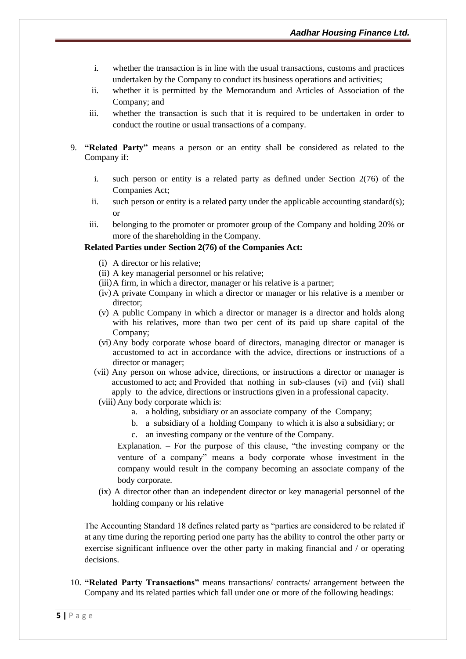- i. whether the transaction is in line with the usual transactions, customs and practices undertaken by the Company to conduct its business operations and activities;
- ii. whether it is permitted by the Memorandum and Articles of Association of the Company; and
- iii. whether the transaction is such that it is required to be undertaken in order to conduct the routine or usual transactions of a company.
- 9. **"Related Party"** means a person or an entity shall be considered as related to the Company if:
	- i. such person or entity is a related party as defined under Section 2(76) of the Companies Act;
	- ii. such person or entity is a related party under the applicable accounting standard(s); or
	- iii. belonging to the promoter or promoter group of the Company and holding 20% or more of the shareholding in the Company.

#### **Related Parties under Section 2(76) of the Companies Act:**

- (i) A director or his relative;
- (ii) A key managerial personnel or his relative;
- (iii)A firm, in which a director, manager or his relative is a partner;
- (iv) A private Company in which a director or manager or his relative is a member or director;
- (v) A public Company in which a director or manager is a director and holds along with his relatives, more than two per cent of its paid up share capital of the Company;
- (vi) Any body corporate whose board of directors, managing director or manager is accustomed to act in accordance with the advice, directions or instructions of a director or manager;
- (vii) Any person on whose advice, directions, or instructions a director or manager is accustomed to act; and Provided that nothing in sub-clauses (vi) and (vii) shall apply to the advice, directions or instructions given in a professional capacity.
- (viii) Any body corporate which is:
	- a. a holding, subsidiary or an associate company of the Company;
	- b. a subsidiary of a holding Company to which it is also a subsidiary; or
	- c. an investing company or the venture of the Company.

Explanation. – For the purpose of this clause, "the investing company or the venture of a company" means a body corporate whose investment in the company would result in the company becoming an associate company of the body corporate.

(ix) A director other than an independent director or key managerial personnel of the holding company or his relative

The Accounting Standard 18 defines related party as "parties are considered to be related if at any time during the reporting period one party has the ability to control the other party or exercise significant influence over the other party in making financial and / or operating decisions.

10. **"Related Party Transactions"** means transactions/ contracts/ arrangement between the Company and its related parties which fall under one or more of the following headings: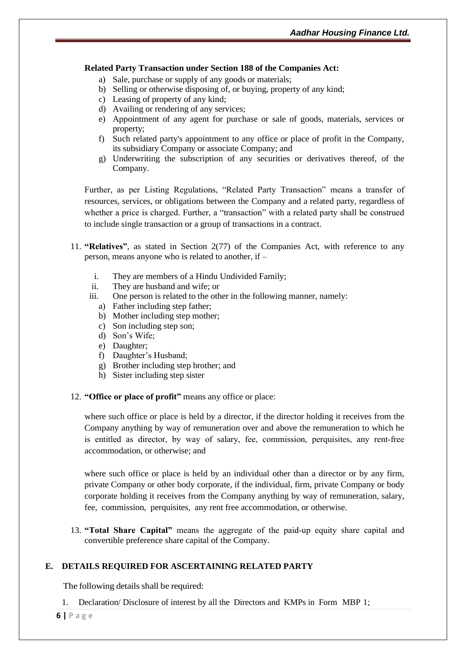#### **Related Party Transaction under Section 188 of the Companies Act:**

- a) Sale, purchase or supply of any goods or materials;
- b) Selling or otherwise disposing of, or buying, property of any kind;
- c) Leasing of property of any kind;
- d) Availing or rendering of any services;
- e) Appointment of any agent for purchase or sale of goods, materials, services or property;
- f) Such related party's appointment to any office or place of profit in the Company, its subsidiary Company or associate Company; and
- g) Underwriting the subscription of any securities or derivatives thereof, of the Company.

Further, as per Listing Regulations, "Related Party Transaction" means a transfer of resources, services, or obligations between the Company and a related party, regardless of whether a price is charged. Further, a "transaction" with a related party shall be construed to include single transaction or a group of transactions in a contract.

- 11. **"Relatives"**, as stated in Section 2(77) of the Companies Act, with reference to any person, means anyone who is related to another, if –
	- i. They are members of a Hindu Undivided Family;
	- ii. They are husband and wife; or
	- iii. One person is related to the other in the following manner, namely:
		- a) Father including step father;
		- b) Mother including step mother;
		- c) Son including step son;
		- d) Son's Wife;
		- e) Daughter;
		- f) Daughter's Husband;
		- g) Brother including step brother; and
		- h) Sister including step sister
- 12. **"Office or place of profit"** means any office or place:

where such office or place is held by a director, if the director holding it receives from the Company anything by way of remuneration over and above the remuneration to which he is entitled as director, by way of salary, fee, commission, perquisites, any rent‐free accommodation, or otherwise; and

where such office or place is held by an individual other than a director or by any firm, private Company or other body corporate, if the individual, firm, private Company or body corporate holding it receives from the Company anything by way of remuneration, salary, fee, commission, perquisites, any rent free accommodation, or otherwise.

13. **"Total Share Capital"** means the aggregate of the paid‐up equity share capital and convertible preference share capital of the Company.

## **E. DETAILS REQUIRED FOR ASCERTAINING RELATED PARTY**

The following details shall be required:

1. Declaration/ Disclosure of interest by all the Directors and KMPs in Form MBP 1;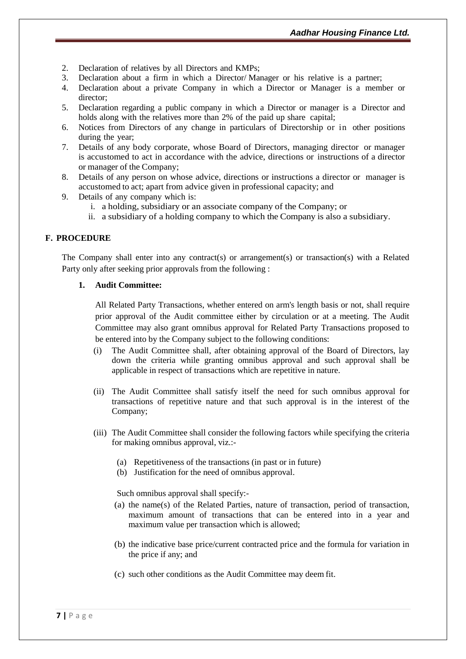- 2. Declaration of relatives by all Directors and KMPs;
- 3. Declaration about a firm in which a Director/ Manager or his relative is a partner;
- 4. Declaration about a private Company in which a Director or Manager is a member or director;
- 5. Declaration regarding a public company in which a Director or manager is a Director and holds along with the relatives more than 2% of the paid up share capital;
- 6. Notices from Directors of any change in particulars of Directorship or in other positions during the year;
- 7. Details of any body corporate, whose Board of Directors, managing director or manager is accustomed to act in accordance with the advice, directions or instructions of a director or manager of the Company;
- 8. Details of any person on whose advice, directions or instructions a director or manager is accustomed to act; apart from advice given in professional capacity; and
- 9. Details of any company which is:
	- i. a holding, subsidiary or an associate company of the Company; or
	- ii. a subsidiary of a holding company to which the Company is also a subsidiary.

## **F. PROCEDURE**

The Company shall enter into any contract(s) or arrangement(s) or transaction(s) with a Related Party only after seeking prior approvals from the following :

#### **1. Audit Committee:**

All Related Party Transactions, whether entered on arm's length basis or not, shall require prior approval of the Audit committee either by circulation or at a meeting. The Audit Committee may also grant omnibus approval for Related Party Transactions proposed to be entered into by the Company subject to the following conditions:

- (i) The Audit Committee shall, after obtaining approval of the Board of Directors, lay down the criteria while granting omnibus approval and such approval shall be applicable in respect of transactions which are repetitive in nature.
- (ii) The Audit Committee shall satisfy itself the need for such omnibus approval for transactions of repetitive nature and that such approval is in the interest of the Company;
- (iii) The Audit Committee shall consider the following factors while specifying the criteria for making omnibus approval, viz.:-
	- (a) Repetitiveness of the transactions (in past or in future)
	- (b) Justification for the need of omnibus approval.

Such omnibus approval shall specify:-

- (a) the name(s) of the Related Parties, nature of transaction, period of transaction, maximum amount of transactions that can be entered into in a year and maximum value per transaction which is allowed;
- (b) the indicative base price/current contracted price and the formula for variation in the price if any; and
- (c) such other conditions as the Audit Committee may deem fit.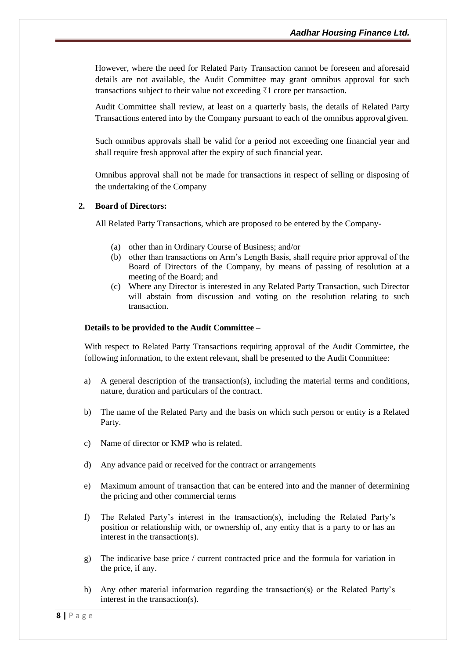However, where the need for Related Party Transaction cannot be foreseen and aforesaid details are not available, the Audit Committee may grant omnibus approval for such transactions subject to their value not exceeding ₹1 crore per transaction.

Audit Committee shall review, at least on a quarterly basis, the details of Related Party Transactions entered into by the Company pursuant to each of the omnibus approval given.

Such omnibus approvals shall be valid for a period not exceeding one financial year and shall require fresh approval after the expiry of such financial year.

Omnibus approval shall not be made for transactions in respect of selling or disposing of the undertaking of the Company

#### **2. Board of Directors:**

All Related Party Transactions, which are proposed to be entered by the Company-

- (a) other than in Ordinary Course of Business; and/or
- (b) other than transactions on Arm's Length Basis, shall require prior approval of the Board of Directors of the Company, by means of passing of resolution at a meeting of the Board; and
- (c) Where any Director is interested in any Related Party Transaction, such Director will abstain from discussion and voting on the resolution relating to such transaction.

#### **Details to be provided to the Audit Committee** –

With respect to Related Party Transactions requiring approval of the Audit Committee, the following information, to the extent relevant, shall be presented to the Audit Committee:

- a) A general description of the transaction(s), including the material terms and conditions, nature, duration and particulars of the contract.
- b) The name of the Related Party and the basis on which such person or entity is a Related Party.
- c) Name of director or KMP who is related.
- d) Any advance paid or received for the contract or arrangements
- e) Maximum amount of transaction that can be entered into and the manner of determining the pricing and other commercial terms
- f) The Related Party's interest in the transaction(s), including the Related Party's position or relationship with, or ownership of, any entity that is a party to or has an interest in the transaction(s).
- g) The indicative base price / current contracted price and the formula for variation in the price, if any.
- h) Any other material information regarding the transaction(s) or the Related Party's interest in the transaction(s).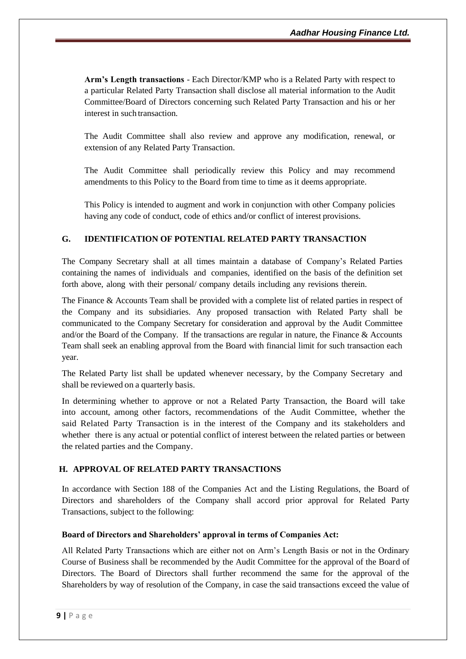**Arm's Length transactions** - Each Director/KMP who is a Related Party with respect to a particular Related Party Transaction shall disclose all material information to the Audit Committee/Board of Directors concerning such Related Party Transaction and his or her interest in such transaction.

The Audit Committee shall also review and approve any modification, renewal, or extension of any Related Party Transaction.

The Audit Committee shall periodically review this Policy and may recommend amendments to this Policy to the Board from time to time as it deems appropriate.

This Policy is intended to augment and work in conjunction with other Company policies having any code of conduct, code of ethics and/or conflict of interest provisions.

## **G. IDENTIFICATION OF POTENTIAL RELATED PARTY TRANSACTION**

The Company Secretary shall at all times maintain a database of Company's Related Parties containing the names of individuals and companies, identified on the basis of the definition set forth above, along with their personal/ company details including any revisions therein.

The Finance & Accounts Team shall be provided with a complete list of related parties in respect of the Company and its subsidiaries. Any proposed transaction with Related Party shall be communicated to the Company Secretary for consideration and approval by the Audit Committee and/or the Board of the Company. If the transactions are regular in nature, the Finance & Accounts Team shall seek an enabling approval from the Board with financial limit for such transaction each year.

The Related Party list shall be updated whenever necessary, by the Company Secretary and shall be reviewed on a quarterly basis.

In determining whether to approve or not a Related Party Transaction, the Board will take into account, among other factors, recommendations of the Audit Committee, whether the said Related Party Transaction is in the interest of the Company and its stakeholders and whether there is any actual or potential conflict of interest between the related parties or between the related parties and the Company.

#### **H. APPROVAL OF RELATED PARTY TRANSACTIONS**

In accordance with Section 188 of the Companies Act and the Listing Regulations, the Board of Directors and shareholders of the Company shall accord prior approval for Related Party Transactions, subject to the following:

#### **Board of Directors and Shareholders' approval in terms of Companies Act:**

All Related Party Transactions which are either not on Arm's Length Basis or not in the Ordinary Course of Business shall be recommended by the Audit Committee for the approval of the Board of Directors. The Board of Directors shall further recommend the same for the approval of the Shareholders by way of resolution of the Company, in case the said transactions exceed the value of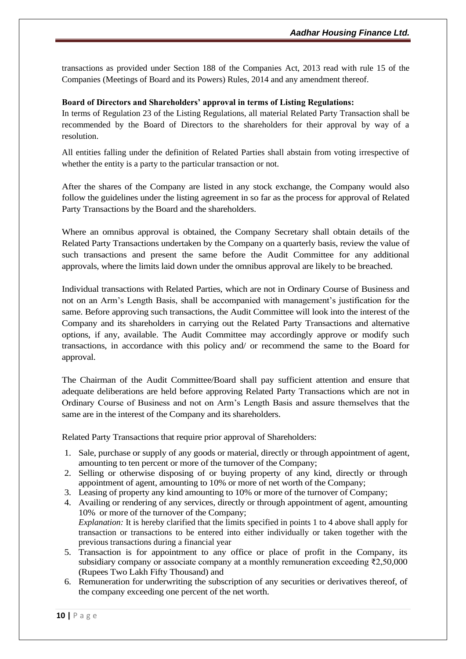transactions as provided under Section 188 of the Companies Act, 2013 read with rule 15 of the Companies (Meetings of Board and its Powers) Rules, 2014 and any amendment thereof.

#### **Board of Directors and Shareholders' approval in terms of Listing Regulations:**

In terms of Regulation 23 of the Listing Regulations, all material Related Party Transaction shall be recommended by the Board of Directors to the shareholders for their approval by way of a resolution.

All entities falling under the definition of Related Parties shall abstain from voting irrespective of whether the entity is a party to the particular transaction or not.

After the shares of the Company are listed in any stock exchange, the Company would also follow the guidelines under the listing agreement in so far as the process for approval of Related Party Transactions by the Board and the shareholders.

Where an omnibus approval is obtained, the Company Secretary shall obtain details of the Related Party Transactions undertaken by the Company on a quarterly basis, review the value of such transactions and present the same before the Audit Committee for any additional approvals, where the limits laid down under the omnibus approval are likely to be breached.

Individual transactions with Related Parties, which are not in Ordinary Course of Business and not on an Arm's Length Basis, shall be accompanied with management's justification for the same. Before approving such transactions, the Audit Committee will look into the interest of the Company and its shareholders in carrying out the Related Party Transactions and alternative options, if any, available. The Audit Committee may accordingly approve or modify such transactions, in accordance with this policy and/ or recommend the same to the Board for approval.

The Chairman of the Audit Committee/Board shall pay sufficient attention and ensure that adequate deliberations are held before approving Related Party Transactions which are not in Ordinary Course of Business and not on Arm's Length Basis and assure themselves that the same are in the interest of the Company and its shareholders.

Related Party Transactions that require prior approval of Shareholders:

- 1. Sale, purchase or supply of any goods or material, directly or through appointment of agent, amounting to ten percent or more of the turnover of the Company;
- 2. Selling or otherwise disposing of or buying property of any kind, directly or through appointment of agent, amounting to 10% or more of net worth of the Company;
- 3. Leasing of property any kind amounting to 10% or more of the turnover of Company;
- 4. Availing or rendering of any services, directly or through appointment of agent, amounting 10% or more of the turnover of the Company; *Explanation:* It is hereby clarified that the limits specified in points 1 to 4 above shall apply for transaction or transactions to be entered into either individually or taken together with the previous transactions during a financial year
- 5. Transaction is for appointment to any office or place of profit in the Company, its subsidiary company or associate company at a monthly remuneration exceeding ₹2,50,000 (Rupees Two Lakh Fifty Thousand) and
- 6. Remuneration for underwriting the subscription of any securities or derivatives thereof, of the company exceeding one percent of the net worth.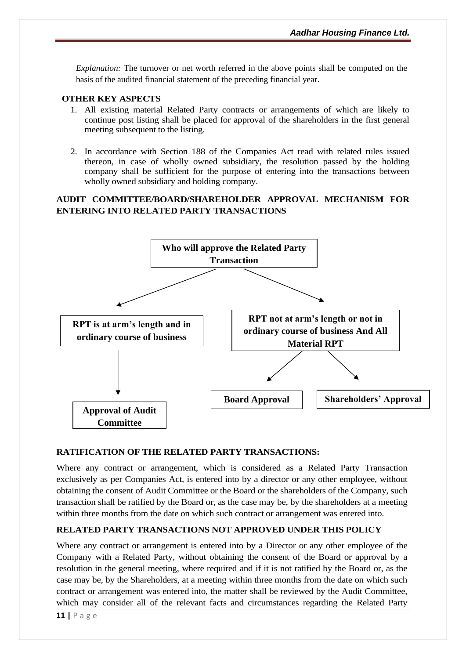*Explanation:* The turnover or net worth referred in the above points shall be computed on the basis of the audited financial statement of the preceding financial year.

#### **OTHER KEY ASPECTS**

- 1. All existing material Related Party contracts or arrangements of which are likely to continue post listing shall be placed for approval of the shareholders in the first general meeting subsequent to the listing.
- 2. In accordance with Section 188 of the Companies Act read with related rules issued thereon, in case of wholly owned subsidiary, the resolution passed by the holding company shall be sufficient for the purpose of entering into the transactions between wholly owned subsidiary and holding company.

## **AUDIT COMMITTEE/BOARD/SHAREHOLDER APPROVAL MECHANISM FOR ENTERING INTO RELATED PARTY TRANSACTIONS**



## **RATIFICATION OF THE RELATED PARTY TRANSACTIONS:**

Where any contract or arrangement, which is considered as a Related Party Transaction exclusively as per Companies Act, is entered into by a director or any other employee, without obtaining the consent of Audit Committee or the Board or the shareholders of the Company, such transaction shall be ratified by the Board or, as the case may be, by the shareholders at a meeting within three months from the date on which such contract or arrangement was entered into.

## **RELATED PARTY TRANSACTIONS NOT APPROVED UNDER THIS POLICY**

Where any contract or arrangement is entered into by a Director or any other employee of the Company with a Related Party, without obtaining the consent of the Board or approval by a resolution in the general meeting, where required and if it is not ratified by the Board or, as the case may be, by the Shareholders, at a meeting within three months from the date on which such contract or arrangement was entered into, the matter shall be reviewed by the Audit Committee, which may consider all of the relevant facts and circumstances regarding the Related Party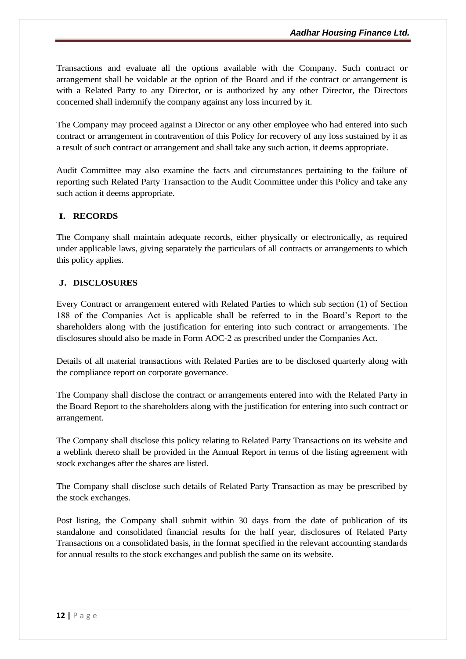Transactions and evaluate all the options available with the Company. Such contract or arrangement shall be voidable at the option of the Board and if the contract or arrangement is with a Related Party to any Director, or is authorized by any other Director, the Directors concerned shall indemnify the company against any loss incurred by it.

The Company may proceed against a Director or any other employee who had entered into such contract or arrangement in contravention of this Policy for recovery of any loss sustained by it as a result of such contract or arrangement and shall take any such action, it deems appropriate.

Audit Committee may also examine the facts and circumstances pertaining to the failure of reporting such Related Party Transaction to the Audit Committee under this Policy and take any such action it deems appropriate.

## **I. RECORDS**

The Company shall maintain adequate records, either physically or electronically, as required under applicable laws, giving separately the particulars of all contracts or arrangements to which this policy applies.

#### **J. DISCLOSURES**

Every Contract or arrangement entered with Related Parties to which sub section (1) of Section 188 of the Companies Act is applicable shall be referred to in the Board's Report to the shareholders along with the justification for entering into such contract or arrangements. The disclosures should also be made in Form AOC-2 as prescribed under the Companies Act.

Details of all material transactions with Related Parties are to be disclosed quarterly along with the compliance report on corporate governance.

The Company shall disclose the contract or arrangements entered into with the Related Party in the Board Report to the shareholders along with the justification for entering into such contract or arrangement.

The Company shall disclose this policy relating to Related Party Transactions on its website and a weblink thereto shall be provided in the Annual Report in terms of the listing agreement with stock exchanges after the shares are listed.

The Company shall disclose such details of Related Party Transaction as may be prescribed by the stock exchanges.

Post listing, the Company shall submit within 30 days from the date of publication of its standalone and consolidated financial results for the half year, disclosures of Related Party Transactions on a consolidated basis, in the format specified in the relevant accounting standards for annual results to the stock exchanges and publish the same on its website.